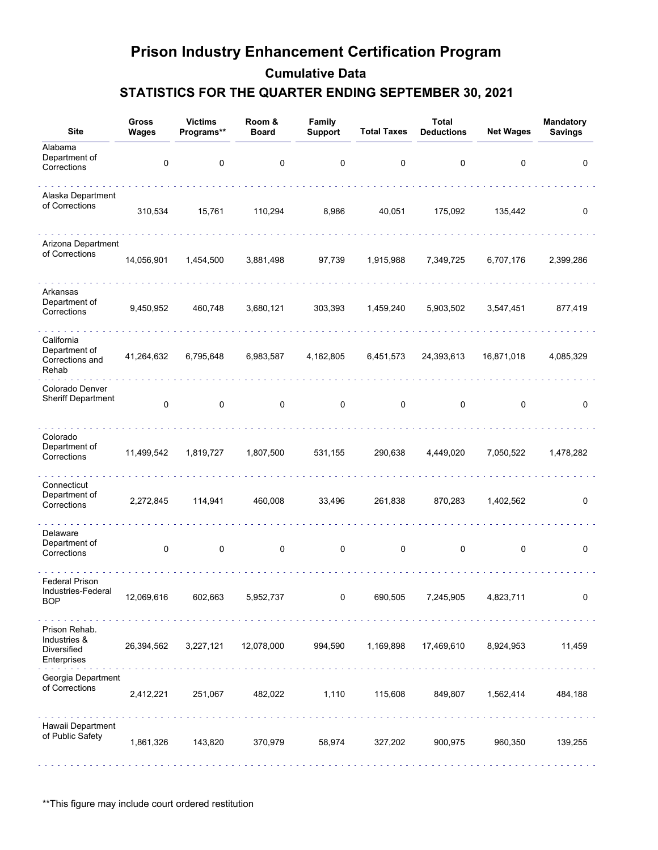| <b>Site</b>                                                 | Gross<br>Wages | <b>Victims</b><br>Programs** | Room &<br><b>Board</b> | Family<br><b>Support</b> | <b>Total Taxes</b> | <b>Total</b><br><b>Deductions</b> | <b>Net Wages</b> | Mandatory<br><b>Savings</b> |
|-------------------------------------------------------------|----------------|------------------------------|------------------------|--------------------------|--------------------|-----------------------------------|------------------|-----------------------------|
| Alabama<br>Department of<br>Corrections                     | 0              | 0                            | 0                      | 0                        | 0                  | 0                                 | 0                | 0                           |
| Alaska Department<br>of Corrections                         | 310,534        | 15,761                       | 110,294                | 8,986                    | 40,051             | 175,092                           | 135,442          | 0                           |
| Arizona Department<br>of Corrections                        | 14,056,901     | 1,454,500                    | 3,881,498              | 97,739                   | 1,915,988          | 7,349,725                         | 6,707,176        | 2,399,286                   |
| Arkansas<br>Department of<br>Corrections                    | 9,450,952      | 460,748                      | 3,680,121              | 303,393                  | 1,459,240          | 5,903,502                         | 3,547,451        | 877,419                     |
| California<br>Department of<br>Corrections and<br>Rehab     | 41,264,632     | 6,795,648                    | 6,983,587              | 4,162,805                | 6,451,573          | 24,393,613                        | 16,871,018       | 4,085,329                   |
| Colorado Denver<br><b>Sheriff Department</b>                | 0              | 0                            | 0                      | 0                        | 0                  | 0                                 | 0                | 0                           |
| Colorado<br>Department of<br>Corrections                    | 11,499,542     | 1,819,727                    | 1,807,500              | 531,155                  | 290,638            | 4,449,020                         | 7,050,522        | 1,478,282                   |
| Connecticut<br>Department of<br>Corrections                 | 2,272,845      | 114,941                      | 460,008                | 33,496                   | 261,838            | 870,283                           | 1,402,562        | 0                           |
| Delaware<br>Department of<br>Corrections                    | $\pmb{0}$      | 0                            | $\mathsf 0$            | $\mathsf 0$              | $\mathbf 0$        | $\mathbf 0$                       | $\mathbf 0$      | 0                           |
| <b>Federal Prison</b><br>Industries-Federal<br>BOP          | 12,069,616     | 602,663                      | 5,952,737              | 0                        | 690,505            | 7,245,905                         | 4,823,711        | 0                           |
| Prison Rehab.<br>Industries &<br>Diversified<br>Enterprises | 26,394,562     | 3,227,121                    | 12,078,000             | 994,590                  | 1,169,898          | 17,469,610                        | 8,924,953        | 11,459                      |
| Georgia Department<br>of Corrections                        | 2,412,221      | 251,067                      | 482,022                | 1,110                    | 115,608            | 849,807                           | 1,562,414        | 484,188                     |
| Hawaii Department<br>of Public Safety                       | 1,861,326      | 143,820                      | 370,979                | 58,974                   | 327,202            | 900,975                           | 960,350          | 139,255                     |

\*\*This figure may include court ordered restitution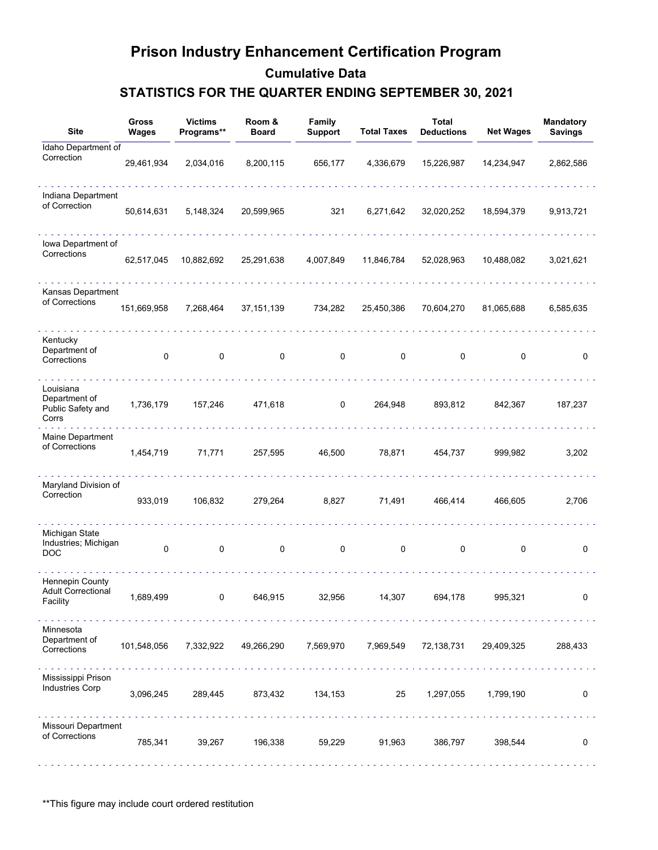| <b>Site</b>                                              | <b>Gross</b><br><b>Wages</b> | <b>Victims</b><br>Programs**                   | Room &<br><b>Board</b> | Family<br><b>Support</b>       | <b>Total Taxes</b> | Total<br><b>Deductions</b> | <b>Net Wages</b> | <b>Mandatory</b><br><b>Savings</b> |
|----------------------------------------------------------|------------------------------|------------------------------------------------|------------------------|--------------------------------|--------------------|----------------------------|------------------|------------------------------------|
| Idaho Department of<br>Correction                        | 29,461,934                   | 2,034,016                                      | 8,200,115              | 656,177                        | 4,336,679          | 15,226,987                 | 14,234,947       | 2,862,586                          |
| Indiana Department<br>of Correction                      | 50,614,631                   | 5,148,324                                      | 20,599,965             | 321                            | 6,271,642          | 32,020,252                 | 18,594,379       | 9,913,721                          |
| lowa Department of<br>Corrections                        | 62,517,045                   | 10,882,692                                     | 25,291,638             | 4,007,849                      | 11,846,784         | 52,028,963                 | 10,488,082       | 3,021,621                          |
| Kansas Department<br>of Corrections                      | 151,669,958                  | 7,268,464                                      | 37, 151, 139           | 734,282                        | 25,450,386         | 70,604,270                 | 81,065,688       | 6,585,635                          |
| Kentucky<br>Department of<br>Corrections                 | 0                            | $\mathbf 0$                                    | $\mathbf 0$            | $\mathbf 0$                    | $\mathbf 0$        | $\mathbf 0$                | 0                | 0                                  |
| Louisiana<br>Department of<br>Public Safety and<br>Corrs | 1,736,179                    | 157,246                                        | 471,618                | 0                              | 264,948            | 893,812                    | 842,367          | 187,237                            |
| Maine Department<br>of Corrections                       | 1,454,719                    | 71,771                                         | 257,595                | 46,500                         | 78,871             | 454,737                    | 999,982          | 3,202                              |
| Maryland Division of<br>Correction                       | 933,019                      | 106,832                                        | 279,264                | 8,827                          | 71,491             | 466,414                    | 466,605          | 2,706                              |
| Michigan State<br>Industries; Michigan<br><b>DOC</b>     | 0                            | $\pmb{0}$                                      | $\mathbf 0$            | $\mathbf 0$                    | $\mathbf 0$        | $\mathbf 0$                | $\pmb{0}$        | 0                                  |
| Hennepin County<br><b>Adult Correctional</b><br>Facility | 1,689,499                    | $\mathbf 0$                                    | 646,915                | 32,956                         | 14,307             | 694,178                    | 995,321          | 0                                  |
| Minnesota<br>Department of<br>Corrections                | 101,548,056                  | dia analahana analahana analahana<br>7,332,922 | 49,266,290             | and and and and a<br>7,569,970 | 7,969,549          | 72,138,731                 | 29,409,325       | 288,433                            |
| Mississippi Prison<br><b>Industries Corp</b>             | 3,096,245                    | 289,445                                        | 873,432                | 134,153                        | 25                 | 1,297,055                  | 1,799,190        | 0                                  |
| Missouri Department<br>of Corrections                    | 785,341                      | 39,267                                         | 196,338                | 59,229                         | 91,963             | 386,797                    | 398,544          | 0                                  |

\*\*This figure may include court ordered restitution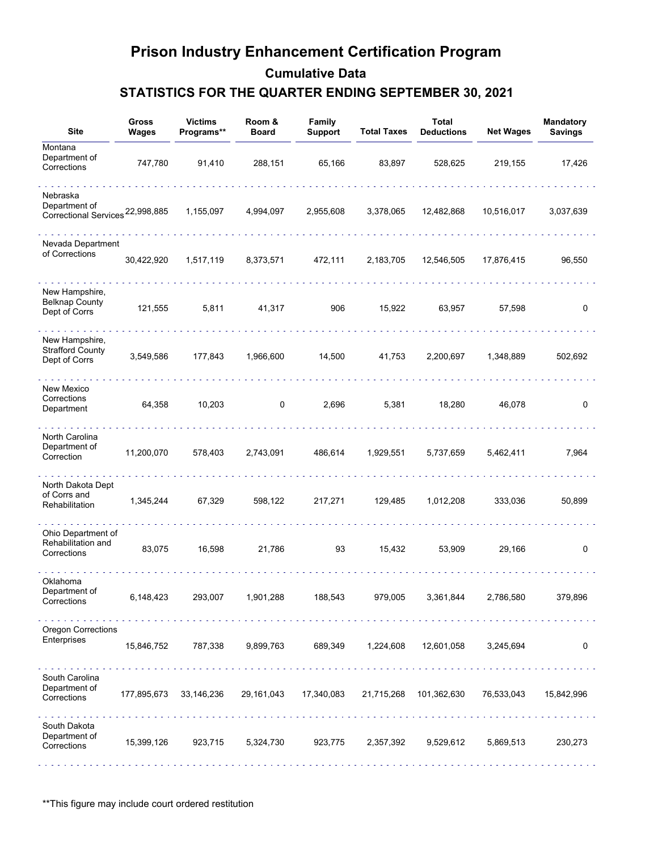| <b>Site</b>                                                   | Gross<br>Wages | <b>Victims</b><br>Programs** | Room &<br><b>Board</b>                          | Family<br><b>Support</b>   | <b>Total Taxes</b> | <b>Total</b><br><b>Deductions</b> | <b>Net Wages</b> | <b>Mandatory</b><br><b>Savings</b> |
|---------------------------------------------------------------|----------------|------------------------------|-------------------------------------------------|----------------------------|--------------------|-----------------------------------|------------------|------------------------------------|
| Montana<br>Department of<br>Corrections                       | 747,780        | 91,410                       | 288,151                                         | 65,166                     | 83,897             | 528,625                           | 219,155          | 17,426                             |
| Nebraska<br>Department of<br>Correctional Services 22,998,885 |                | 1,155,097                    | 4,994,097                                       | 2,955,608                  | 3,378,065          | 12,482,868                        | 10,516,017       | 3,037,639                          |
| Nevada Department<br>of Corrections                           | 30,422,920     | 1,517,119                    | 8,373,571                                       | 472,111                    | 2,183,705          | 12,546,505                        | 17,876,415       | 96,550                             |
| New Hampshire,<br><b>Belknap County</b><br>Dept of Corrs      | 121,555        | 5,811                        | 41,317                                          | 906                        | 15,922             | 63,957                            | 57,598           | 0                                  |
| New Hampshire,<br><b>Strafford County</b><br>Dept of Corrs    | 3,549,586      | 177,843                      | 1,966,600                                       | 14,500                     | 41,753             | 2,200,697                         | 1,348,889        | 502,692                            |
| New Mexico<br>Corrections<br>Department                       | 64,358         | 10,203                       | 0                                               | 2,696                      | 5,381              | 18,280                            | 46,078           | 0                                  |
| North Carolina<br>Department of<br>Correction                 | 11,200,070     | 578,403                      | 2,743,091                                       | 486,614                    | 1,929,551          | 5,737,659                         | 5,462,411        | 7,964                              |
| North Dakota Dept<br>of Corrs and<br>Rehabilitation           | 1,345,244      | 67,329                       | 598,122                                         | 217,271                    | 129,485            | 1,012,208                         | 333,036          | 50,899                             |
| Ohio Department of<br>Rehabilitation and<br>Corrections       | 83,075         | 16,598                       | 21,786                                          | 93                         | 15,432             | 53,909                            | 29,166           | 0                                  |
| Oklahoma<br>Department of<br>Corrections                      | 6,148,423      | 293,007                      | 1,901,288                                       | 188,543                    | 979,005            | 3,361,844                         | 2,786,580        | 379,896                            |
| <b>Oregon Corrections</b><br>Enterprises                      | 15,846,752     | and a shareholder<br>787,338 | 9,899,763                                       | and a share and<br>689,349 | 1,224,608          | 12,601,058                        | 3,245,694        | 0                                  |
| South Carolina<br>Department of<br>Corrections                |                |                              | 177,895,673  33,146,236  29,161,043  17,340,083 |                            |                    | 21,715,268 101,362,630            | 76,533,043       | 15,842,996                         |
| South Dakota<br>Department of<br>Corrections                  | 15,399,126     | 923,715                      | 5,324,730                                       | 923,775                    | 2,357,392          | 9,529,612                         | 5,869,513        | 230,273                            |

\*\*This figure may include court ordered restitution